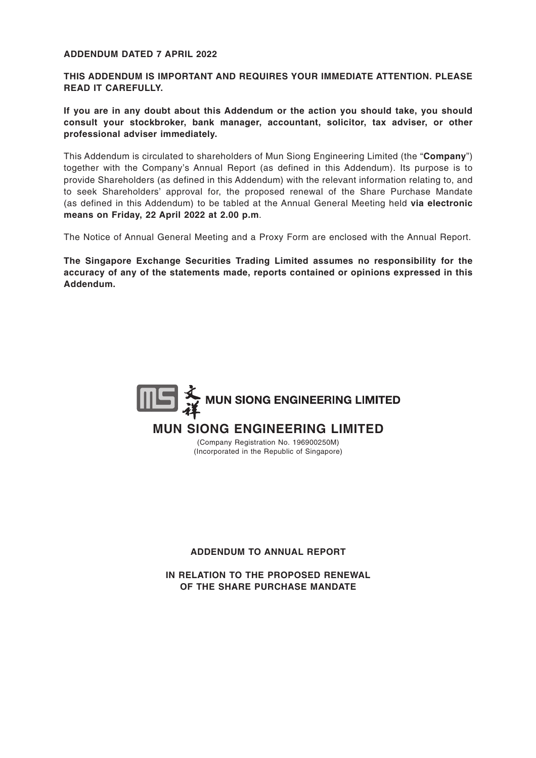# **ADDENDUM DATED 7 APRIL 2022**

**THIS ADDENDUM IS IMPORTANT AND REQUIRES YOUR IMMEDIATE ATTENTION. PLEASE READ IT CAREFULLY.**

**If you are in any doubt about this Addendum or the action you should take, you should consult your stockbroker, bank manager, accountant, solicitor, tax adviser, or other professional adviser immediately.**

This Addendum is circulated to shareholders of Mun Siong Engineering Limited (the "**Company**") together with the Company's Annual Report (as defined in this Addendum). Its purpose is to provide Shareholders (as defined in this Addendum) with the relevant information relating to, and to seek Shareholders' approval for, the proposed renewal of the Share Purchase Mandate (as defined in this Addendum) to be tabled at the Annual General Meeting held **via electronic means on Friday, 22 April 2022 at 2.00 p.m**.

The Notice of Annual General Meeting and a Proxy Form are enclosed with the Annual Report.

**The Singapore Exchange Securities Trading Limited assumes no responsibility for the accuracy of any of the statements made, reports contained or opinions expressed in this Addendum.**



#### **ADDENDUM TO ANNUAL REPORT**

**IN RELATION TO THE PROPOSED RENEWAL OF THE SHARE PURCHASE MANDATE**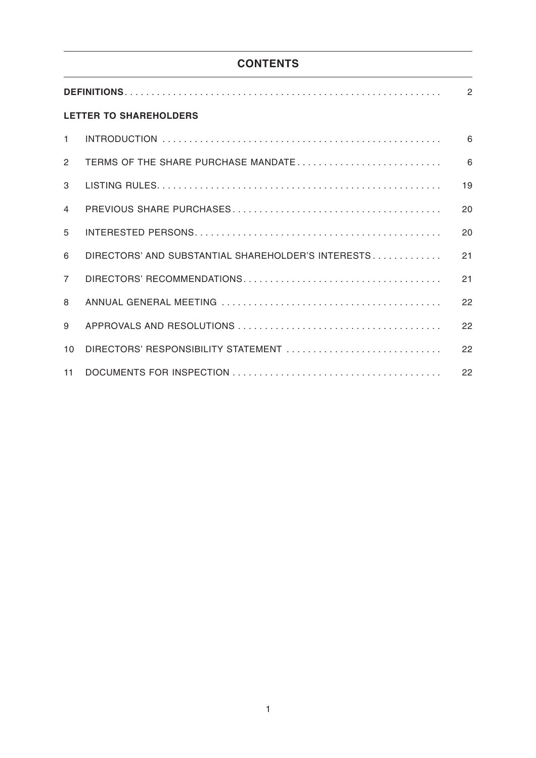# **CONTENTS**

| <b>LETTER TO SHAREHOLDERS</b> |                                                    |    |  |  |  |  |  |
|-------------------------------|----------------------------------------------------|----|--|--|--|--|--|
| $\mathbf{1}$                  |                                                    | 6  |  |  |  |  |  |
| $\overline{2}$                | TERMS OF THE SHARE PURCHASE MANDATE                | 6  |  |  |  |  |  |
| 3                             |                                                    | 19 |  |  |  |  |  |
| 4                             |                                                    | 20 |  |  |  |  |  |
| 5                             |                                                    | 20 |  |  |  |  |  |
| 6                             | DIRECTORS' AND SUBSTANTIAL SHAREHOLDER'S INTERESTS | 21 |  |  |  |  |  |
| $\overline{7}$                |                                                    | 21 |  |  |  |  |  |
| 8                             |                                                    | 22 |  |  |  |  |  |
| 9                             |                                                    | 22 |  |  |  |  |  |
| 10                            | DIRECTORS' RESPONSIBILITY STATEMENT                | 22 |  |  |  |  |  |
| 11                            |                                                    | 22 |  |  |  |  |  |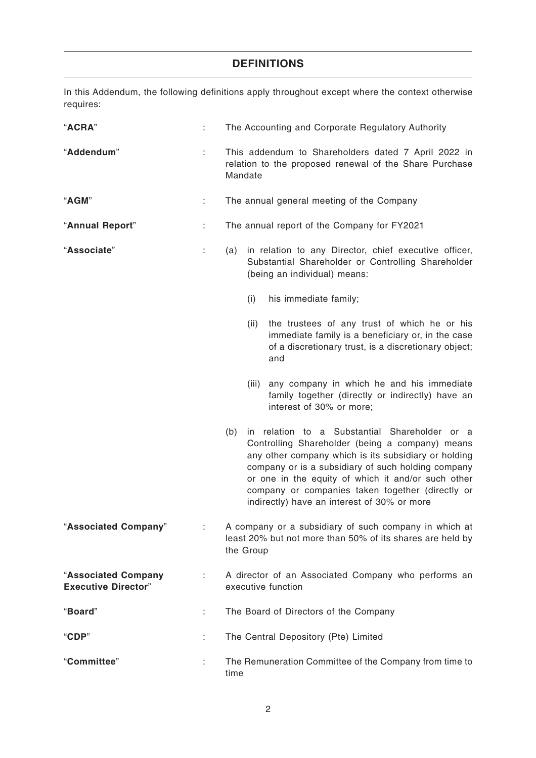# **DEFINITIONS**

In this Addendum, the following definitions apply throughout except where the context otherwise requires:

| "ACRA"                                                 |    | The Accounting and Corporate Regulatory Authority                                                                                                                                                                                                                                                                                                                              |  |  |  |  |
|--------------------------------------------------------|----|--------------------------------------------------------------------------------------------------------------------------------------------------------------------------------------------------------------------------------------------------------------------------------------------------------------------------------------------------------------------------------|--|--|--|--|
| "Addendum"                                             | ÷. | This addendum to Shareholders dated 7 April 2022 in<br>relation to the proposed renewal of the Share Purchase<br>Mandate                                                                                                                                                                                                                                                       |  |  |  |  |
| "AGM"                                                  | ÷  | The annual general meeting of the Company                                                                                                                                                                                                                                                                                                                                      |  |  |  |  |
| "Annual Report"                                        | ÷  | The annual report of the Company for FY2021                                                                                                                                                                                                                                                                                                                                    |  |  |  |  |
| "Associate"<br>÷                                       |    | (a) in relation to any Director, chief executive officer,<br>Substantial Shareholder or Controlling Shareholder<br>(being an individual) means:                                                                                                                                                                                                                                |  |  |  |  |
|                                                        |    | his immediate family;<br>(i)                                                                                                                                                                                                                                                                                                                                                   |  |  |  |  |
|                                                        |    | the trustees of any trust of which he or his<br>(ii)<br>immediate family is a beneficiary or, in the case<br>of a discretionary trust, is a discretionary object;<br>and                                                                                                                                                                                                       |  |  |  |  |
|                                                        |    | any company in which he and his immediate<br>(iii)<br>family together (directly or indirectly) have an<br>interest of 30% or more;                                                                                                                                                                                                                                             |  |  |  |  |
|                                                        |    | in relation to a Substantial Shareholder or a<br>(b)<br>Controlling Shareholder (being a company) means<br>any other company which is its subsidiary or holding<br>company or is a subsidiary of such holding company<br>or one in the equity of which it and/or such other<br>company or companies taken together (directly or<br>indirectly) have an interest of 30% or more |  |  |  |  |
| "Associated Company"                                   |    | A company or a subsidiary of such company in which at<br>least 20% but not more than 50% of its shares are held by<br>the Group                                                                                                                                                                                                                                                |  |  |  |  |
| "Associated Company<br>÷<br><b>Executive Director"</b> |    | A director of an Associated Company who performs an<br>executive function                                                                                                                                                                                                                                                                                                      |  |  |  |  |
| "Board"<br>÷                                           |    | The Board of Directors of the Company                                                                                                                                                                                                                                                                                                                                          |  |  |  |  |
| "CDP"<br>÷.                                            |    | The Central Depository (Pte) Limited                                                                                                                                                                                                                                                                                                                                           |  |  |  |  |
| "Committee"                                            |    | The Remuneration Committee of the Company from time to<br>time                                                                                                                                                                                                                                                                                                                 |  |  |  |  |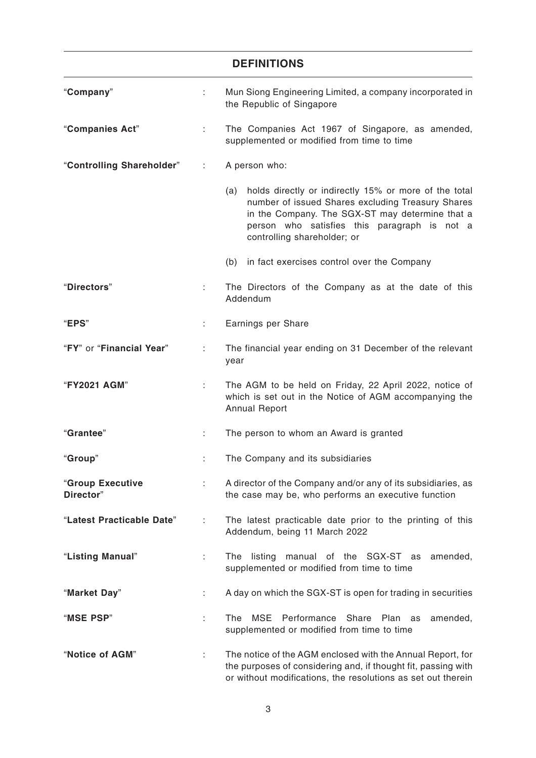|                               |    | <b>DEFINITIONS</b>                                                                                                                                                                                                                                  |  |  |  |  |  |
|-------------------------------|----|-----------------------------------------------------------------------------------------------------------------------------------------------------------------------------------------------------------------------------------------------------|--|--|--|--|--|
| "Company"                     | t. | Mun Siong Engineering Limited, a company incorporated in<br>the Republic of Singapore                                                                                                                                                               |  |  |  |  |  |
| "Companies Act"               | ÷  | The Companies Act 1967 of Singapore, as amended,<br>supplemented or modified from time to time                                                                                                                                                      |  |  |  |  |  |
| "Controlling Shareholder"     | ÷  | A person who:                                                                                                                                                                                                                                       |  |  |  |  |  |
|                               |    | holds directly or indirectly 15% or more of the total<br>(a)<br>number of issued Shares excluding Treasury Shares<br>in the Company. The SGX-ST may determine that a<br>person who satisfies this paragraph is not a<br>controlling shareholder; or |  |  |  |  |  |
|                               |    | in fact exercises control over the Company<br>(b)                                                                                                                                                                                                   |  |  |  |  |  |
| "Directors"                   |    | The Directors of the Company as at the date of this<br>Addendum                                                                                                                                                                                     |  |  |  |  |  |
| "EPS"                         |    | Earnings per Share                                                                                                                                                                                                                                  |  |  |  |  |  |
| "FY" or "Financial Year"      | ÷  | The financial year ending on 31 December of the relevant<br>year                                                                                                                                                                                    |  |  |  |  |  |
| "FY2021 AGM"                  | t, | The AGM to be held on Friday, 22 April 2022, notice of<br>which is set out in the Notice of AGM accompanying the<br><b>Annual Report</b>                                                                                                            |  |  |  |  |  |
| "Grantee"                     |    | The person to whom an Award is granted                                                                                                                                                                                                              |  |  |  |  |  |
| "Group"                       |    | The Company and its subsidiaries                                                                                                                                                                                                                    |  |  |  |  |  |
| "Group Executive<br>Director" | ÷. | A director of the Company and/or any of its subsidiaries, as<br>the case may be, who performs an executive function                                                                                                                                 |  |  |  |  |  |
| "Latest Practicable Date"     | ÷  | The latest practicable date prior to the printing of this<br>Addendum, being 11 March 2022                                                                                                                                                          |  |  |  |  |  |
| "Listing Manual"              |    | listing<br>manual of the SGX-ST as<br>amended,<br>The<br>supplemented or modified from time to time                                                                                                                                                 |  |  |  |  |  |
| "Market Day"                  | ÷  | A day on which the SGX-ST is open for trading in securities                                                                                                                                                                                         |  |  |  |  |  |
| "MSE PSP"                     | t. | <b>MSE</b><br>Performance<br>Share Plan<br>The<br>amended,<br>as<br>supplemented or modified from time to time                                                                                                                                      |  |  |  |  |  |
| "Notice of AGM"               |    | The notice of the AGM enclosed with the Annual Report, for<br>the purposes of considering and, if thought fit, passing with<br>or without modifications, the resolutions as set out therein                                                         |  |  |  |  |  |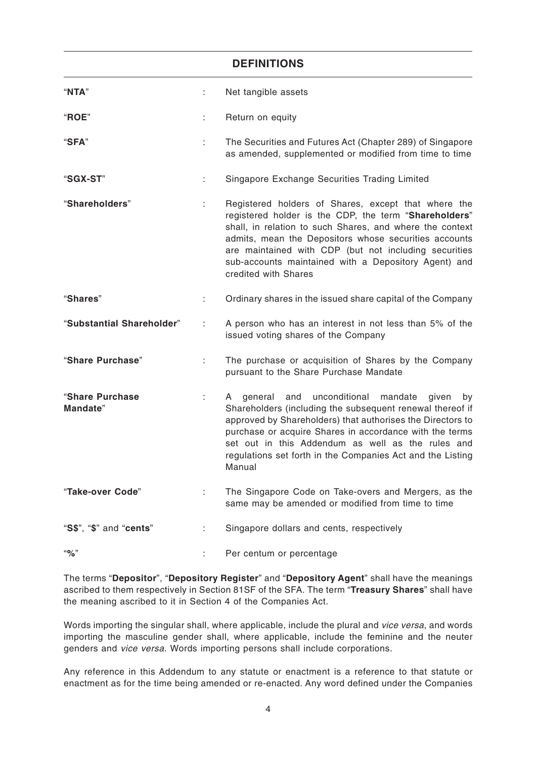|                             |    | <b>DEFINITIONS</b>                                                                                                                                                                                                                                                                                                                                                             |
|-----------------------------|----|--------------------------------------------------------------------------------------------------------------------------------------------------------------------------------------------------------------------------------------------------------------------------------------------------------------------------------------------------------------------------------|
| "NTA"                       | ÷. | Net tangible assets                                                                                                                                                                                                                                                                                                                                                            |
| "ROE"                       | ÷. | Return on equity                                                                                                                                                                                                                                                                                                                                                               |
| "SFA"                       | ÷. | The Securities and Futures Act (Chapter 289) of Singapore<br>as amended, supplemented or modified from time to time                                                                                                                                                                                                                                                            |
| "SGX-ST"                    | ÷  | Singapore Exchange Securities Trading Limited                                                                                                                                                                                                                                                                                                                                  |
| "Shareholders"              | ÷. | Registered holders of Shares, except that where the<br>registered holder is the CDP, the term "Shareholders"<br>shall, in relation to such Shares, and where the context<br>admits, mean the Depositors whose securities accounts<br>are maintained with CDP (but not including securities<br>sub-accounts maintained with a Depository Agent) and<br>credited with Shares     |
| "Shares"                    | ÷  | Ordinary shares in the issued share capital of the Company                                                                                                                                                                                                                                                                                                                     |
| "Substantial Shareholder"   | ÷  | A person who has an interest in not less than 5% of the<br>issued voting shares of the Company                                                                                                                                                                                                                                                                                 |
| "Share Purchase"            | ÷. | The purchase or acquisition of Shares by the Company<br>pursuant to the Share Purchase Mandate                                                                                                                                                                                                                                                                                 |
| "Share Purchase<br>Mandate" |    | and unconditional<br>mandate<br>given<br>general<br>by<br>A<br>Shareholders (including the subsequent renewal thereof if<br>approved by Shareholders) that authorises the Directors to<br>purchase or acquire Shares in accordance with the terms<br>set out in this Addendum as well as the rules and<br>regulations set forth in the Companies Act and the Listing<br>Manual |
| "Take-over Code"            | ÷  | The Singapore Code on Take-overs and Mergers, as the<br>same may be amended or modified from time to time                                                                                                                                                                                                                                                                      |
| "S\$", "\$" and "cents"     | ÷  | Singapore dollars and cents, respectively                                                                                                                                                                                                                                                                                                                                      |
| $``\%"$                     |    | Per centum or percentage                                                                                                                                                                                                                                                                                                                                                       |

The terms "**Depositor**", "**Depository Register**" and "**Depository Agent**" shall have the meanings ascribed to them respectively in Section 81SF of the SFA. The term "**Treasury Shares**" shall have the meaning ascribed to it in Section 4 of the Companies Act.

Words importing the singular shall, where applicable, include the plural and vice versa, and words importing the masculine gender shall, where applicable, include the feminine and the neuter genders and vice versa. Words importing persons shall include corporations.

Any reference in this Addendum to any statute or enactment is a reference to that statute or enactment as for the time being amended or re-enacted. Any word defined under the Companies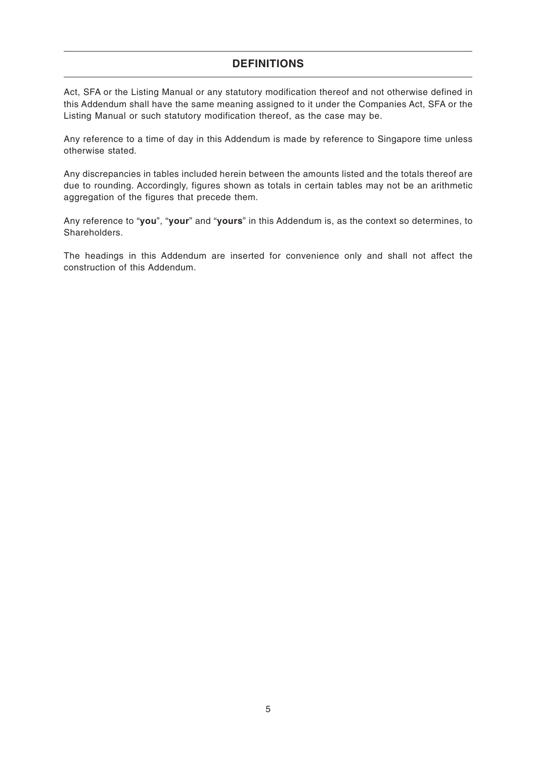# **DEFINITIONS**

Act, SFA or the Listing Manual or any statutory modification thereof and not otherwise defined in this Addendum shall have the same meaning assigned to it under the Companies Act, SFA or the Listing Manual or such statutory modification thereof, as the case may be.

Any reference to a time of day in this Addendum is made by reference to Singapore time unless otherwise stated.

Any discrepancies in tables included herein between the amounts listed and the totals thereof are due to rounding. Accordingly, figures shown as totals in certain tables may not be an arithmetic aggregation of the figures that precede them.

Any reference to "**you**", "**your**" and "**yours**" in this Addendum is, as the context so determines, to Shareholders.

The headings in this Addendum are inserted for convenience only and shall not affect the construction of this Addendum.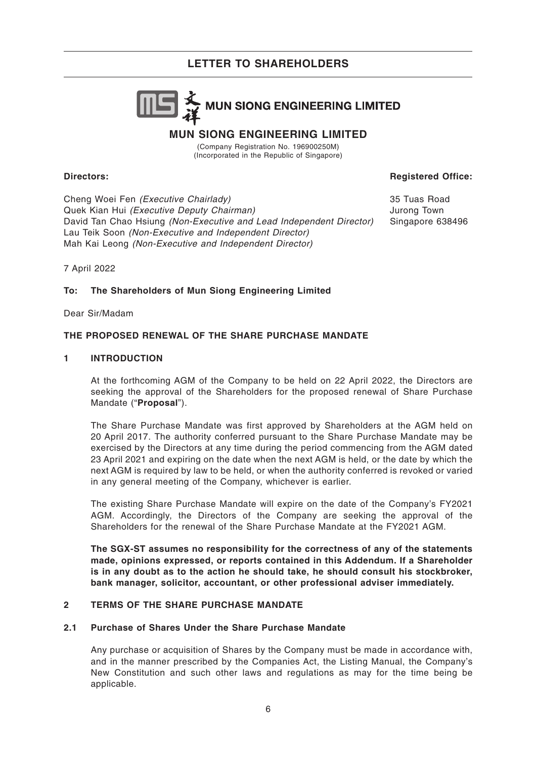

# **MUN SIONG ENGINEERING LIMITED**

(Company Registration No. 196900250M) (Incorporated in the Republic of Singapore)

# **Directors:**

**Registered Office:**

Cheng Woei Fen (Executive Chairlady) Quek Kian Hui (Executive Deputy Chairman) David Tan Chao Hsiung (Non-Executive and Lead Independent Director) Lau Teik Soon (Non-Executive and Independent Director) Mah Kai Leong (Non-Executive and Independent Director)

35 Tuas Road Jurong Town Singapore 638496

7 April 2022

# **To: The Shareholders of Mun Siong Engineering Limited**

Dear Sir/Madam

# **THE PROPOSED RENEWAL OF THE SHARE PURCHASE MANDATE**

# **1 INTRODUCTION**

At the forthcoming AGM of the Company to be held on 22 April 2022, the Directors are seeking the approval of the Shareholders for the proposed renewal of Share Purchase Mandate ("**Proposal**").

The Share Purchase Mandate was first approved by Shareholders at the AGM held on 20 April 2017. The authority conferred pursuant to the Share Purchase Mandate may be exercised by the Directors at any time during the period commencing from the AGM dated 23 April 2021 and expiring on the date when the next AGM is held, or the date by which the next AGM is required by law to be held, or when the authority conferred is revoked or varied in any general meeting of the Company, whichever is earlier.

The existing Share Purchase Mandate will expire on the date of the Company's FY2021 AGM. Accordingly, the Directors of the Company are seeking the approval of the Shareholders for the renewal of the Share Purchase Mandate at the FY2021 AGM.

**The SGX-ST assumes no responsibility for the correctness of any of the statements made, opinions expressed, or reports contained in this Addendum. If a Shareholder is in any doubt as to the action he should take, he should consult his stockbroker, bank manager, solicitor, accountant, or other professional adviser immediately.**

# **2 TERMS OF THE SHARE PURCHASE MANDATE**

# **2.1 Purchase of Shares Under the Share Purchase Mandate**

Any purchase or acquisition of Shares by the Company must be made in accordance with, and in the manner prescribed by the Companies Act, the Listing Manual, the Company's New Constitution and such other laws and regulations as may for the time being be applicable.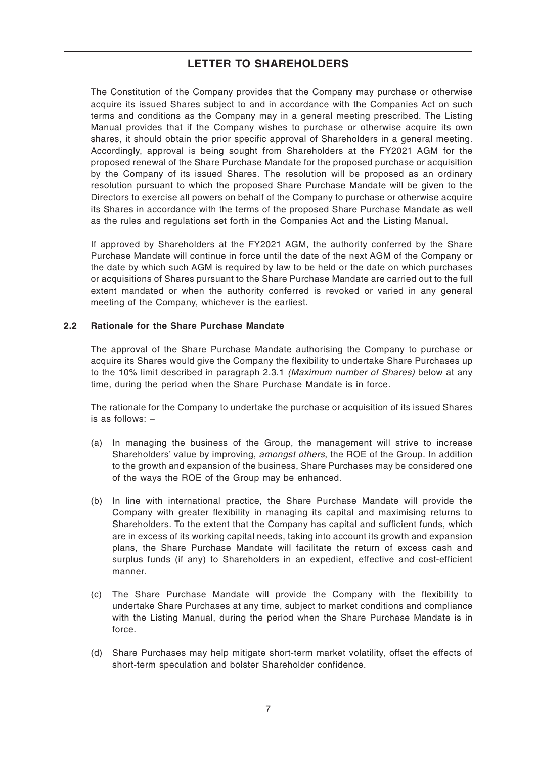The Constitution of the Company provides that the Company may purchase or otherwise acquire its issued Shares subject to and in accordance with the Companies Act on such terms and conditions as the Company may in a general meeting prescribed. The Listing Manual provides that if the Company wishes to purchase or otherwise acquire its own shares, it should obtain the prior specific approval of Shareholders in a general meeting. Accordingly, approval is being sought from Shareholders at the FY2021 AGM for the proposed renewal of the Share Purchase Mandate for the proposed purchase or acquisition by the Company of its issued Shares. The resolution will be proposed as an ordinary resolution pursuant to which the proposed Share Purchase Mandate will be given to the Directors to exercise all powers on behalf of the Company to purchase or otherwise acquire its Shares in accordance with the terms of the proposed Share Purchase Mandate as well as the rules and regulations set forth in the Companies Act and the Listing Manual.

If approved by Shareholders at the FY2021 AGM, the authority conferred by the Share Purchase Mandate will continue in force until the date of the next AGM of the Company or the date by which such AGM is required by law to be held or the date on which purchases or acquisitions of Shares pursuant to the Share Purchase Mandate are carried out to the full extent mandated or when the authority conferred is revoked or varied in any general meeting of the Company, whichever is the earliest.

# **2.2 Rationale for the Share Purchase Mandate**

The approval of the Share Purchase Mandate authorising the Company to purchase or acquire its Shares would give the Company the flexibility to undertake Share Purchases up to the 10% limit described in paragraph 2.3.1 (Maximum number of Shares) below at any time, during the period when the Share Purchase Mandate is in force.

The rationale for the Company to undertake the purchase or acquisition of its issued Shares is as follows: –

- (a) In managing the business of the Group, the management will strive to increase Shareholders' value by improving, amongst others, the ROE of the Group. In addition to the growth and expansion of the business, Share Purchases may be considered one of the ways the ROE of the Group may be enhanced.
- (b) In line with international practice, the Share Purchase Mandate will provide the Company with greater flexibility in managing its capital and maximising returns to Shareholders. To the extent that the Company has capital and sufficient funds, which are in excess of its working capital needs, taking into account its growth and expansion plans, the Share Purchase Mandate will facilitate the return of excess cash and surplus funds (if any) to Shareholders in an expedient, effective and cost-efficient manner.
- (c) The Share Purchase Mandate will provide the Company with the flexibility to undertake Share Purchases at any time, subject to market conditions and compliance with the Listing Manual, during the period when the Share Purchase Mandate is in force.
- (d) Share Purchases may help mitigate short-term market volatility, offset the effects of short-term speculation and bolster Shareholder confidence.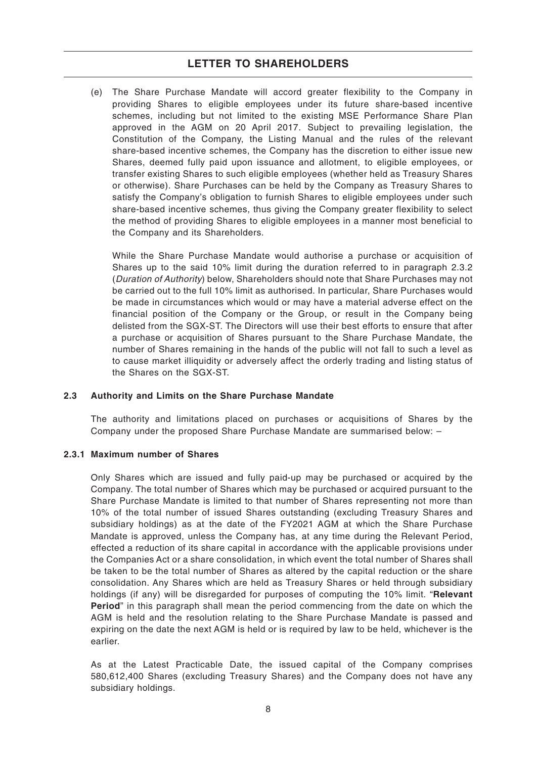(e) The Share Purchase Mandate will accord greater flexibility to the Company in providing Shares to eligible employees under its future share-based incentive schemes, including but not limited to the existing MSE Performance Share Plan approved in the AGM on 20 April 2017. Subject to prevailing legislation, the Constitution of the Company, the Listing Manual and the rules of the relevant share-based incentive schemes, the Company has the discretion to either issue new Shares, deemed fully paid upon issuance and allotment, to eligible employees, or transfer existing Shares to such eligible employees (whether held as Treasury Shares or otherwise). Share Purchases can be held by the Company as Treasury Shares to satisfy the Company's obligation to furnish Shares to eligible employees under such share-based incentive schemes, thus giving the Company greater flexibility to select the method of providing Shares to eligible employees in a manner most beneficial to the Company and its Shareholders.

While the Share Purchase Mandate would authorise a purchase or acquisition of Shares up to the said 10% limit during the duration referred to in paragraph 2.3.2 (Duration of Authority) below, Shareholders should note that Share Purchases may not be carried out to the full 10% limit as authorised. In particular, Share Purchases would be made in circumstances which would or may have a material adverse effect on the financial position of the Company or the Group, or result in the Company being delisted from the SGX-ST. The Directors will use their best efforts to ensure that after a purchase or acquisition of Shares pursuant to the Share Purchase Mandate, the number of Shares remaining in the hands of the public will not fall to such a level as to cause market illiquidity or adversely affect the orderly trading and listing status of the Shares on the SGX-ST.

# **2.3 Authority and Limits on the Share Purchase Mandate**

The authority and limitations placed on purchases or acquisitions of Shares by the Company under the proposed Share Purchase Mandate are summarised below: –

#### **2.3.1 Maximum number of Shares**

Only Shares which are issued and fully paid-up may be purchased or acquired by the Company. The total number of Shares which may be purchased or acquired pursuant to the Share Purchase Mandate is limited to that number of Shares representing not more than 10% of the total number of issued Shares outstanding (excluding Treasury Shares and subsidiary holdings) as at the date of the FY2021 AGM at which the Share Purchase Mandate is approved, unless the Company has, at any time during the Relevant Period, effected a reduction of its share capital in accordance with the applicable provisions under the Companies Act or a share consolidation, in which event the total number of Shares shall be taken to be the total number of Shares as altered by the capital reduction or the share consolidation. Any Shares which are held as Treasury Shares or held through subsidiary holdings (if any) will be disregarded for purposes of computing the 10% limit. "**Relevant Period**" in this paragraph shall mean the period commencing from the date on which the AGM is held and the resolution relating to the Share Purchase Mandate is passed and expiring on the date the next AGM is held or is required by law to be held, whichever is the earlier.

As at the Latest Practicable Date, the issued capital of the Company comprises 580,612,400 Shares (excluding Treasury Shares) and the Company does not have any subsidiary holdings.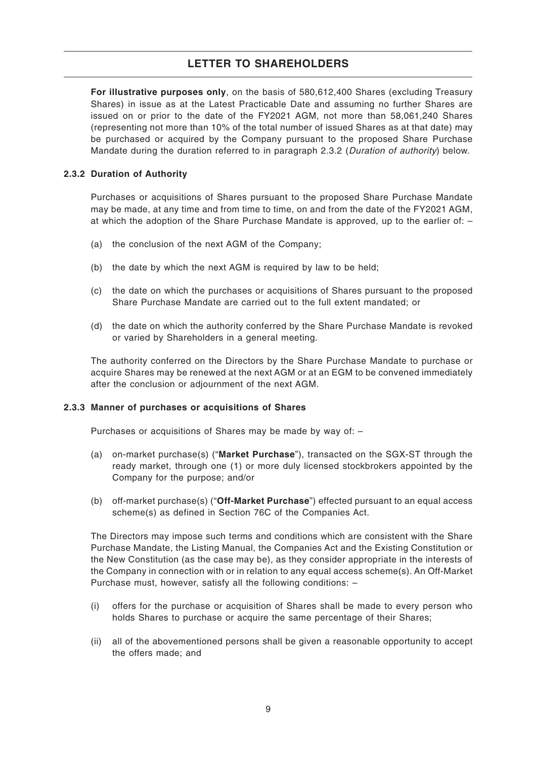**For illustrative purposes only**, on the basis of 580,612,400 Shares (excluding Treasury Shares) in issue as at the Latest Practicable Date and assuming no further Shares are issued on or prior to the date of the FY2021 AGM, not more than 58,061,240 Shares (representing not more than 10% of the total number of issued Shares as at that date) may be purchased or acquired by the Company pursuant to the proposed Share Purchase Mandate during the duration referred to in paragraph 2.3.2 (Duration of authority) below.

# **2.3.2 Duration of Authority**

Purchases or acquisitions of Shares pursuant to the proposed Share Purchase Mandate may be made, at any time and from time to time, on and from the date of the FY2021 AGM, at which the adoption of the Share Purchase Mandate is approved, up to the earlier of: –

- (a) the conclusion of the next AGM of the Company;
- (b) the date by which the next AGM is required by law to be held;
- (c) the date on which the purchases or acquisitions of Shares pursuant to the proposed Share Purchase Mandate are carried out to the full extent mandated; or
- (d) the date on which the authority conferred by the Share Purchase Mandate is revoked or varied by Shareholders in a general meeting.

The authority conferred on the Directors by the Share Purchase Mandate to purchase or acquire Shares may be renewed at the next AGM or at an EGM to be convened immediately after the conclusion or adjournment of the next AGM.

# **2.3.3 Manner of purchases or acquisitions of Shares**

Purchases or acquisitions of Shares may be made by way of: –

- (a) on-market purchase(s) ("**Market Purchase**"), transacted on the SGX-ST through the ready market, through one (1) or more duly licensed stockbrokers appointed by the Company for the purpose; and/or
- (b) off-market purchase(s) ("**Off-Market Purchase**") effected pursuant to an equal access scheme(s) as defined in Section 76C of the Companies Act.

The Directors may impose such terms and conditions which are consistent with the Share Purchase Mandate, the Listing Manual, the Companies Act and the Existing Constitution or the New Constitution (as the case may be), as they consider appropriate in the interests of the Company in connection with or in relation to any equal access scheme(s). An Off-Market Purchase must, however, satisfy all the following conditions: –

- (i) offers for the purchase or acquisition of Shares shall be made to every person who holds Shares to purchase or acquire the same percentage of their Shares;
- (ii) all of the abovementioned persons shall be given a reasonable opportunity to accept the offers made; and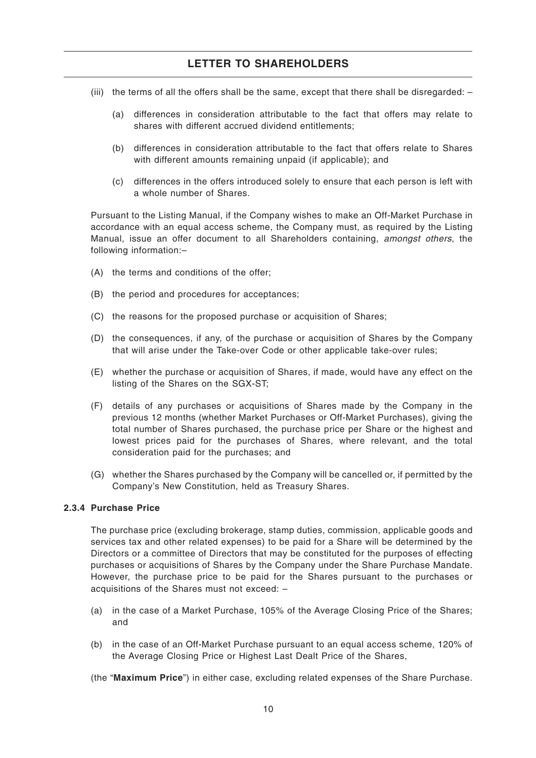- (iii) the terms of all the offers shall be the same, except that there shall be disregarded:
	- (a) differences in consideration attributable to the fact that offers may relate to shares with different accrued dividend entitlements;
	- (b) differences in consideration attributable to the fact that offers relate to Shares with different amounts remaining unpaid (if applicable); and
	- (c) differences in the offers introduced solely to ensure that each person is left with a whole number of Shares.

Pursuant to the Listing Manual, if the Company wishes to make an Off-Market Purchase in accordance with an equal access scheme, the Company must, as required by the Listing Manual, issue an offer document to all Shareholders containing, amongst others, the following information:–

- (A) the terms and conditions of the offer;
- (B) the period and procedures for acceptances;
- (C) the reasons for the proposed purchase or acquisition of Shares;
- (D) the consequences, if any, of the purchase or acquisition of Shares by the Company that will arise under the Take-over Code or other applicable take-over rules;
- (E) whether the purchase or acquisition of Shares, if made, would have any effect on the listing of the Shares on the SGX-ST;
- (F) details of any purchases or acquisitions of Shares made by the Company in the previous 12 months (whether Market Purchases or Off-Market Purchases), giving the total number of Shares purchased, the purchase price per Share or the highest and lowest prices paid for the purchases of Shares, where relevant, and the total consideration paid for the purchases; and
- (G) whether the Shares purchased by the Company will be cancelled or, if permitted by the Company's New Constitution, held as Treasury Shares.

# **2.3.4 Purchase Price**

The purchase price (excluding brokerage, stamp duties, commission, applicable goods and services tax and other related expenses) to be paid for a Share will be determined by the Directors or a committee of Directors that may be constituted for the purposes of effecting purchases or acquisitions of Shares by the Company under the Share Purchase Mandate. However, the purchase price to be paid for the Shares pursuant to the purchases or acquisitions of the Shares must not exceed: –

- (a) in the case of a Market Purchase, 105% of the Average Closing Price of the Shares; and
- (b) in the case of an Off-Market Purchase pursuant to an equal access scheme, 120% of the Average Closing Price or Highest Last Dealt Price of the Shares,
- (the "**Maximum Price**") in either case, excluding related expenses of the Share Purchase.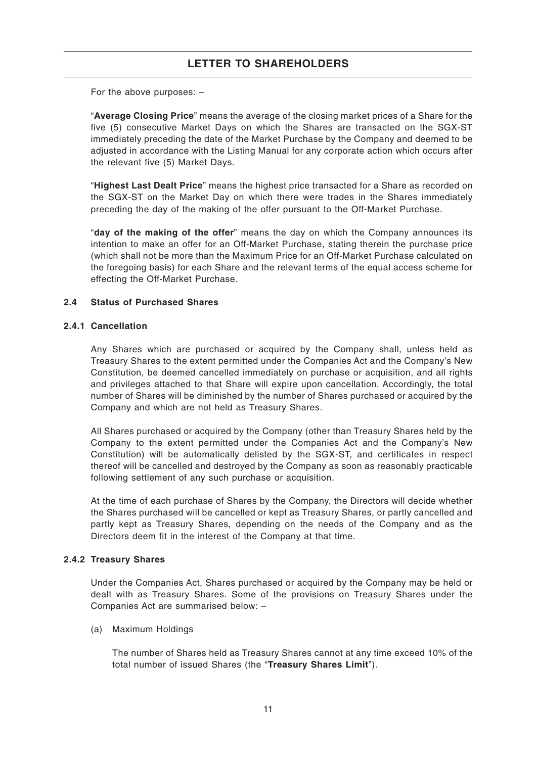For the above purposes: –

"**Average Closing Price**" means the average of the closing market prices of a Share for the five (5) consecutive Market Days on which the Shares are transacted on the SGX-ST immediately preceding the date of the Market Purchase by the Company and deemed to be adjusted in accordance with the Listing Manual for any corporate action which occurs after the relevant five (5) Market Days.

"**Highest Last Dealt Price**" means the highest price transacted for a Share as recorded on the SGX-ST on the Market Day on which there were trades in the Shares immediately preceding the day of the making of the offer pursuant to the Off-Market Purchase.

"**day of the making of the offer**" means the day on which the Company announces its intention to make an offer for an Off-Market Purchase, stating therein the purchase price (which shall not be more than the Maximum Price for an Off-Market Purchase calculated on the foregoing basis) for each Share and the relevant terms of the equal access scheme for effecting the Off-Market Purchase.

# **2.4 Status of Purchased Shares**

# **2.4.1 Cancellation**

Any Shares which are purchased or acquired by the Company shall, unless held as Treasury Shares to the extent permitted under the Companies Act and the Company's New Constitution, be deemed cancelled immediately on purchase or acquisition, and all rights and privileges attached to that Share will expire upon cancellation. Accordingly, the total number of Shares will be diminished by the number of Shares purchased or acquired by the Company and which are not held as Treasury Shares.

All Shares purchased or acquired by the Company (other than Treasury Shares held by the Company to the extent permitted under the Companies Act and the Company's New Constitution) will be automatically delisted by the SGX-ST, and certificates in respect thereof will be cancelled and destroyed by the Company as soon as reasonably practicable following settlement of any such purchase or acquisition.

At the time of each purchase of Shares by the Company, the Directors will decide whether the Shares purchased will be cancelled or kept as Treasury Shares, or partly cancelled and partly kept as Treasury Shares, depending on the needs of the Company and as the Directors deem fit in the interest of the Company at that time.

# **2.4.2 Treasury Shares**

Under the Companies Act, Shares purchased or acquired by the Company may be held or dealt with as Treasury Shares. Some of the provisions on Treasury Shares under the Companies Act are summarised below: –

# (a) Maximum Holdings

The number of Shares held as Treasury Shares cannot at any time exceed 10% of the total number of issued Shares (the "**Treasury Shares Limit**").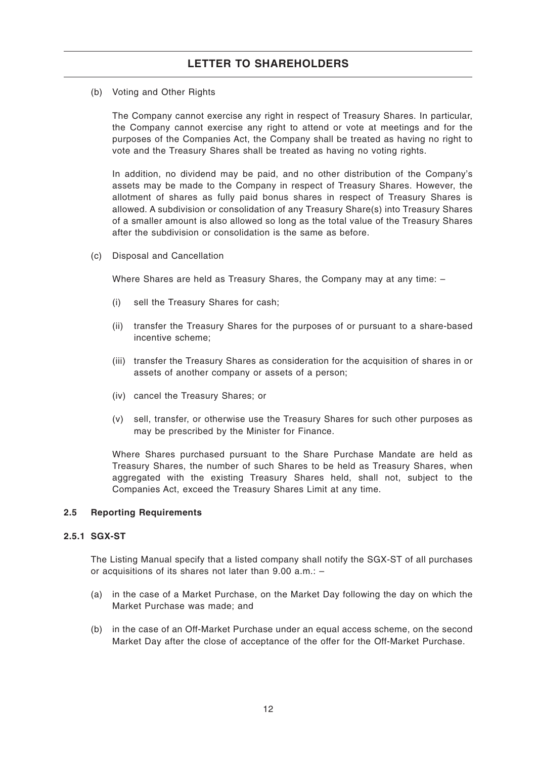(b) Voting and Other Rights

The Company cannot exercise any right in respect of Treasury Shares. In particular, the Company cannot exercise any right to attend or vote at meetings and for the purposes of the Companies Act, the Company shall be treated as having no right to vote and the Treasury Shares shall be treated as having no voting rights.

In addition, no dividend may be paid, and no other distribution of the Company's assets may be made to the Company in respect of Treasury Shares. However, the allotment of shares as fully paid bonus shares in respect of Treasury Shares is allowed. A subdivision or consolidation of any Treasury Share(s) into Treasury Shares of a smaller amount is also allowed so long as the total value of the Treasury Shares after the subdivision or consolidation is the same as before.

(c) Disposal and Cancellation

Where Shares are held as Treasury Shares, the Company may at any time: –

- (i) sell the Treasury Shares for cash;
- (ii) transfer the Treasury Shares for the purposes of or pursuant to a share-based incentive scheme;
- (iii) transfer the Treasury Shares as consideration for the acquisition of shares in or assets of another company or assets of a person;
- (iv) cancel the Treasury Shares; or
- (v) sell, transfer, or otherwise use the Treasury Shares for such other purposes as may be prescribed by the Minister for Finance.

Where Shares purchased pursuant to the Share Purchase Mandate are held as Treasury Shares, the number of such Shares to be held as Treasury Shares, when aggregated with the existing Treasury Shares held, shall not, subject to the Companies Act, exceed the Treasury Shares Limit at any time.

# **2.5 Reporting Requirements**

### **2.5.1 SGX-ST**

The Listing Manual specify that a listed company shall notify the SGX-ST of all purchases or acquisitions of its shares not later than 9.00 a.m.: –

- (a) in the case of a Market Purchase, on the Market Day following the day on which the Market Purchase was made; and
- (b) in the case of an Off-Market Purchase under an equal access scheme, on the second Market Day after the close of acceptance of the offer for the Off-Market Purchase.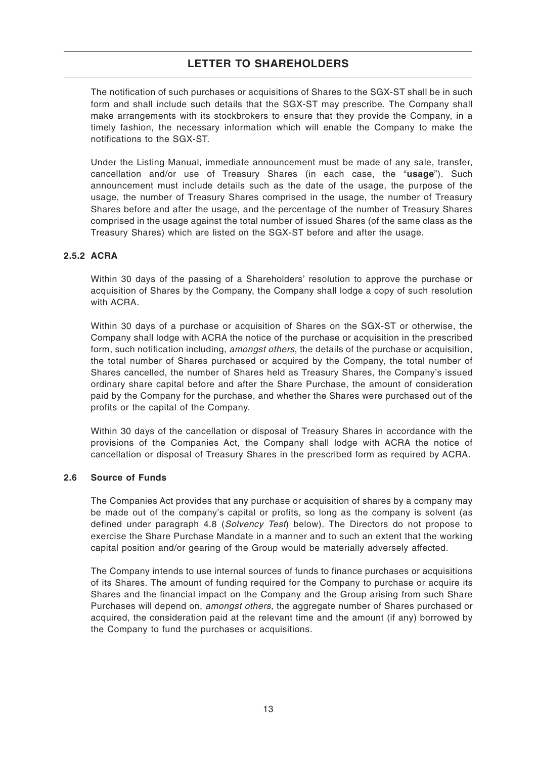The notification of such purchases or acquisitions of Shares to the SGX-ST shall be in such form and shall include such details that the SGX-ST may prescribe. The Company shall make arrangements with its stockbrokers to ensure that they provide the Company, in a timely fashion, the necessary information which will enable the Company to make the notifications to the SGX-ST.

Under the Listing Manual, immediate announcement must be made of any sale, transfer, cancellation and/or use of Treasury Shares (in each case, the "**usage**"). Such announcement must include details such as the date of the usage, the purpose of the usage, the number of Treasury Shares comprised in the usage, the number of Treasury Shares before and after the usage, and the percentage of the number of Treasury Shares comprised in the usage against the total number of issued Shares (of the same class as the Treasury Shares) which are listed on the SGX-ST before and after the usage.

# **2.5.2 ACRA**

Within 30 days of the passing of a Shareholders' resolution to approve the purchase or acquisition of Shares by the Company, the Company shall lodge a copy of such resolution with ACRA

Within 30 days of a purchase or acquisition of Shares on the SGX-ST or otherwise, the Company shall lodge with ACRA the notice of the purchase or acquisition in the prescribed form, such notification including, amongst others, the details of the purchase or acquisition, the total number of Shares purchased or acquired by the Company, the total number of Shares cancelled, the number of Shares held as Treasury Shares, the Company's issued ordinary share capital before and after the Share Purchase, the amount of consideration paid by the Company for the purchase, and whether the Shares were purchased out of the profits or the capital of the Company.

Within 30 days of the cancellation or disposal of Treasury Shares in accordance with the provisions of the Companies Act, the Company shall lodge with ACRA the notice of cancellation or disposal of Treasury Shares in the prescribed form as required by ACRA.

# **2.6 Source of Funds**

The Companies Act provides that any purchase or acquisition of shares by a company may be made out of the company's capital or profits, so long as the company is solvent (as defined under paragraph 4.8 (Solvency Test) below). The Directors do not propose to exercise the Share Purchase Mandate in a manner and to such an extent that the working capital position and/or gearing of the Group would be materially adversely affected.

The Company intends to use internal sources of funds to finance purchases or acquisitions of its Shares. The amount of funding required for the Company to purchase or acquire its Shares and the financial impact on the Company and the Group arising from such Share Purchases will depend on, amongst others, the aggregate number of Shares purchased or acquired, the consideration paid at the relevant time and the amount (if any) borrowed by the Company to fund the purchases or acquisitions.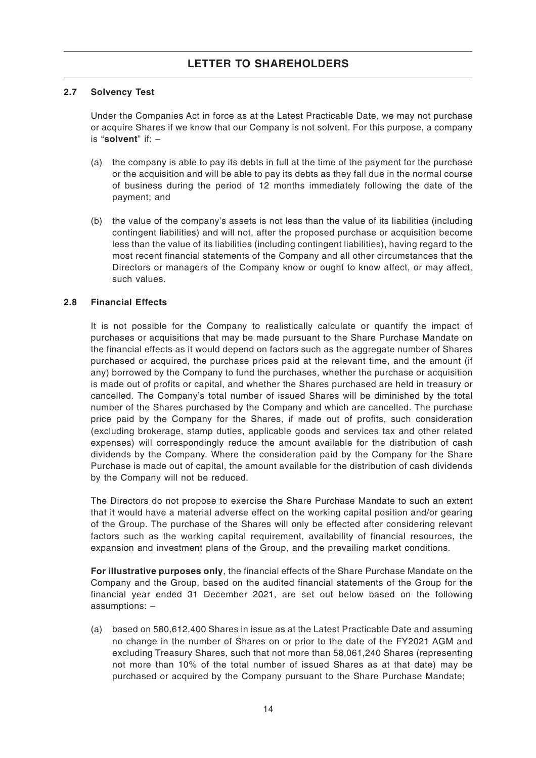# **2.7 Solvency Test**

Under the Companies Act in force as at the Latest Practicable Date, we may not purchase or acquire Shares if we know that our Company is not solvent. For this purpose, a company is "**solvent**" if: –

- (a) the company is able to pay its debts in full at the time of the payment for the purchase or the acquisition and will be able to pay its debts as they fall due in the normal course of business during the period of 12 months immediately following the date of the payment; and
- (b) the value of the company's assets is not less than the value of its liabilities (including contingent liabilities) and will not, after the proposed purchase or acquisition become less than the value of its liabilities (including contingent liabilities), having regard to the most recent financial statements of the Company and all other circumstances that the Directors or managers of the Company know or ought to know affect, or may affect, such values.

# **2.8 Financial Effects**

It is not possible for the Company to realistically calculate or quantify the impact of purchases or acquisitions that may be made pursuant to the Share Purchase Mandate on the financial effects as it would depend on factors such as the aggregate number of Shares purchased or acquired, the purchase prices paid at the relevant time, and the amount (if any) borrowed by the Company to fund the purchases, whether the purchase or acquisition is made out of profits or capital, and whether the Shares purchased are held in treasury or cancelled. The Company's total number of issued Shares will be diminished by the total number of the Shares purchased by the Company and which are cancelled. The purchase price paid by the Company for the Shares, if made out of profits, such consideration (excluding brokerage, stamp duties, applicable goods and services tax and other related expenses) will correspondingly reduce the amount available for the distribution of cash dividends by the Company. Where the consideration paid by the Company for the Share Purchase is made out of capital, the amount available for the distribution of cash dividends by the Company will not be reduced.

The Directors do not propose to exercise the Share Purchase Mandate to such an extent that it would have a material adverse effect on the working capital position and/or gearing of the Group. The purchase of the Shares will only be effected after considering relevant factors such as the working capital requirement, availability of financial resources, the expansion and investment plans of the Group, and the prevailing market conditions.

**For illustrative purposes only**, the financial effects of the Share Purchase Mandate on the Company and the Group, based on the audited financial statements of the Group for the financial year ended 31 December 2021, are set out below based on the following assumptions: –

(a) based on 580,612,400 Shares in issue as at the Latest Practicable Date and assuming no change in the number of Shares on or prior to the date of the FY2021 AGM and excluding Treasury Shares, such that not more than 58,061,240 Shares (representing not more than 10% of the total number of issued Shares as at that date) may be purchased or acquired by the Company pursuant to the Share Purchase Mandate;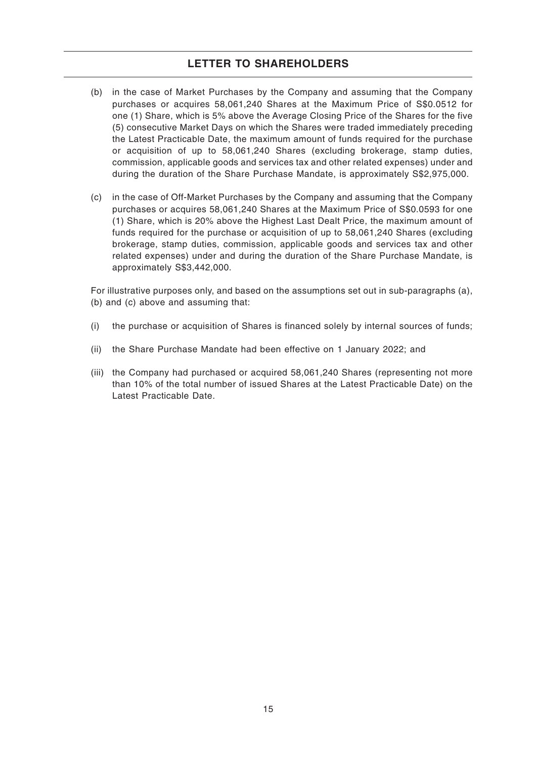- (b) in the case of Market Purchases by the Company and assuming that the Company purchases or acquires 58,061,240 Shares at the Maximum Price of S\$0.0512 for one (1) Share, which is 5% above the Average Closing Price of the Shares for the five (5) consecutive Market Days on which the Shares were traded immediately preceding the Latest Practicable Date, the maximum amount of funds required for the purchase or acquisition of up to 58,061,240 Shares (excluding brokerage, stamp duties, commission, applicable goods and services tax and other related expenses) under and during the duration of the Share Purchase Mandate, is approximately S\$2,975,000.
- (c) in the case of Off-Market Purchases by the Company and assuming that the Company purchases or acquires 58,061,240 Shares at the Maximum Price of S\$0.0593 for one (1) Share, which is 20% above the Highest Last Dealt Price, the maximum amount of funds required for the purchase or acquisition of up to 58,061,240 Shares (excluding brokerage, stamp duties, commission, applicable goods and services tax and other related expenses) under and during the duration of the Share Purchase Mandate, is approximately S\$3,442,000.

For illustrative purposes only, and based on the assumptions set out in sub-paragraphs (a), (b) and (c) above and assuming that:

- (i) the purchase or acquisition of Shares is financed solely by internal sources of funds;
- (ii) the Share Purchase Mandate had been effective on 1 January 2022; and
- (iii) the Company had purchased or acquired 58,061,240 Shares (representing not more than 10% of the total number of issued Shares at the Latest Practicable Date) on the Latest Practicable Date.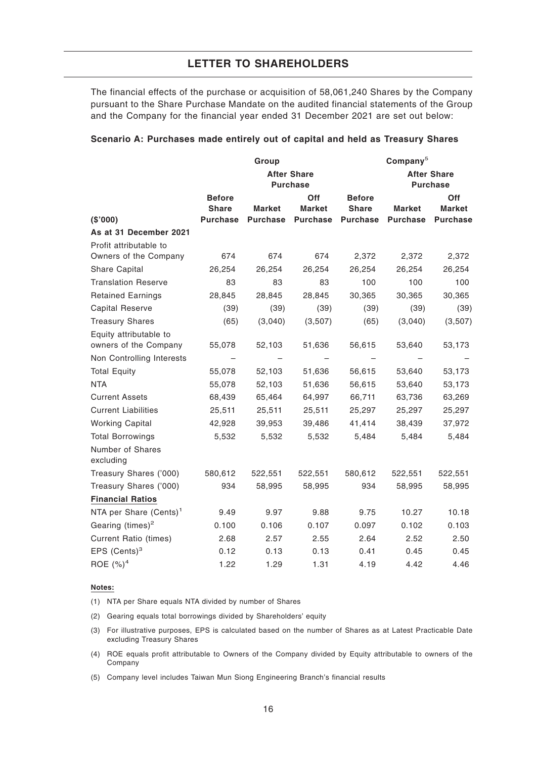The financial effects of the purchase or acquisition of 58,061,240 Shares by the Company pursuant to the Share Purchase Mandate on the audited financial statements of the Group and the Company for the financial year ended 31 December 2021 are set out below:

|                                    |                                       | Group           |                 |                                       | Company <sup>5</sup> |                 |
|------------------------------------|---------------------------------------|-----------------|-----------------|---------------------------------------|----------------------|-----------------|
|                                    | <b>After Share</b><br><b>Purchase</b> |                 |                 | <b>After Share</b><br><b>Purchase</b> |                      |                 |
|                                    | <b>Before</b>                         |                 | <b>Off</b>      | <b>Before</b>                         |                      | Off             |
|                                    | <b>Share</b>                          | Market          | Market          | <b>Share</b>                          | Market               | <b>Market</b>   |
| (\$'000)                           | <b>Purchase</b>                       | <b>Purchase</b> | <b>Purchase</b> | <b>Purchase</b>                       | <b>Purchase</b>      | <b>Purchase</b> |
| As at 31 December 2021             |                                       |                 |                 |                                       |                      |                 |
| Profit attributable to             |                                       |                 |                 |                                       |                      |                 |
| Owners of the Company              | 674                                   | 674             | 674             | 2,372                                 | 2,372                | 2,372           |
| Share Capital                      | 26,254                                | 26,254          | 26,254          | 26,254                                | 26,254               | 26,254          |
| <b>Translation Reserve</b>         | 83                                    | 83              | 83              | 100                                   | 100                  | 100             |
| <b>Retained Earnings</b>           | 28,845                                | 28,845          | 28,845          | 30,365                                | 30,365               | 30,365          |
| <b>Capital Reserve</b>             | (39)                                  | (39)            | (39)            | (39)                                  | (39)                 | (39)            |
| <b>Treasury Shares</b>             | (65)                                  | (3,040)         | (3,507)         | (65)                                  | (3,040)              | (3,507)         |
| Equity attributable to             |                                       |                 |                 |                                       |                      |                 |
| owners of the Company              | 55,078                                | 52,103          | 51,636          | 56,615                                | 53,640               | 53,173          |
| Non Controlling Interests          |                                       |                 |                 |                                       |                      |                 |
| <b>Total Equity</b>                | 55,078                                | 52,103          | 51,636          | 56,615                                | 53,640               | 53,173          |
| <b>NTA</b>                         | 55,078                                | 52,103          | 51,636          | 56,615                                | 53,640               | 53,173          |
| <b>Current Assets</b>              | 68,439                                | 65,464          | 64,997          | 66,711                                | 63,736               | 63,269          |
| <b>Current Liabilities</b>         | 25,511                                | 25,511          | 25,511          | 25,297                                | 25,297               | 25,297          |
| <b>Working Capital</b>             | 42,928                                | 39,953          | 39,486          | 41,414                                | 38,439               | 37,972          |
| <b>Total Borrowings</b>            | 5,532                                 | 5,532           | 5,532           | 5,484                                 | 5,484                | 5,484           |
| Number of Shares<br>excluding      |                                       |                 |                 |                                       |                      |                 |
| Treasury Shares ('000)             | 580,612                               | 522,551         | 522,551         | 580,612                               | 522,551              | 522,551         |
| Treasury Shares ('000)             | 934                                   | 58,995          | 58,995          | 934                                   | 58,995               | 58,995          |
| <b>Financial Ratios</b>            |                                       |                 |                 |                                       |                      |                 |
| NTA per Share (Cents) <sup>1</sup> | 9.49                                  | 9.97            | 9.88            | 9.75                                  | 10.27                | 10.18           |
| Gearing $(times)^2$                | 0.100                                 | 0.106           | 0.107           | 0.097                                 | 0.102                | 0.103           |
| <b>Current Ratio (times)</b>       | 2.68                                  | 2.57            | 2.55            | 2.64                                  | 2.52                 | 2.50            |
| EPS $(Cents)^3$                    | 0.12                                  | 0.13            | 0.13            | 0.41                                  | 0.45                 | 0.45            |
| ROE $(%)^4$                        | 1.22                                  | 1.29            | 1.31            | 4.19                                  | 4.42                 | 4.46            |

### **Scenario A: Purchases made entirely out of capital and held as Treasury Shares**

#### **Notes:**

(1) NTA per Share equals NTA divided by number of Shares

(2) Gearing equals total borrowings divided by Shareholders' equity

(3) For illustrative purposes, EPS is calculated based on the number of Shares as at Latest Practicable Date excluding Treasury Shares

(4) ROE equals profit attributable to Owners of the Company divided by Equity attributable to owners of the Company

(5) Company level includes Taiwan Mun Siong Engineering Branch's financial results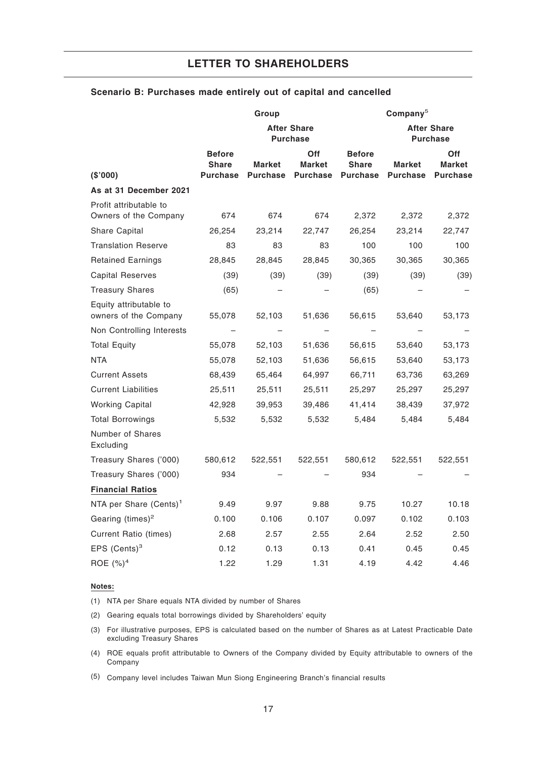|                                                 |                                                  | Group                            |                                                |                                                  | Company <sup>5</sup>             |                                         |  |
|-------------------------------------------------|--------------------------------------------------|----------------------------------|------------------------------------------------|--------------------------------------------------|----------------------------------|-----------------------------------------|--|
|                                                 | <b>After Share</b><br><b>Purchase</b>            |                                  |                                                | <b>After Share</b><br><b>Purchase</b>            |                                  |                                         |  |
| (\$'000)                                        | <b>Before</b><br><b>Share</b><br><b>Purchase</b> | <b>Market</b><br><b>Purchase</b> | <b>Off</b><br><b>Market</b><br><b>Purchase</b> | <b>Before</b><br><b>Share</b><br><b>Purchase</b> | <b>Market</b><br><b>Purchase</b> | Off<br><b>Market</b><br><b>Purchase</b> |  |
| As at 31 December 2021                          |                                                  |                                  |                                                |                                                  |                                  |                                         |  |
| Profit attributable to<br>Owners of the Company | 674                                              | 674                              | 674                                            | 2,372                                            | 2,372                            | 2,372                                   |  |
| Share Capital                                   | 26,254                                           | 23,214                           | 22,747                                         | 26,254                                           | 23,214                           | 22,747                                  |  |
| <b>Translation Reserve</b>                      | 83                                               | 83                               | 83                                             | 100                                              | 100                              | 100                                     |  |
| <b>Retained Earnings</b>                        | 28,845                                           | 28,845                           | 28,845                                         | 30,365                                           | 30,365                           | 30,365                                  |  |
| <b>Capital Reserves</b>                         | (39)                                             | (39)                             | (39)                                           | (39)                                             | (39)                             | (39)                                    |  |
| <b>Treasury Shares</b>                          | (65)                                             |                                  |                                                | (65)                                             |                                  |                                         |  |
| Equity attributable to<br>owners of the Company | 55,078                                           | 52,103                           | 51,636                                         | 56,615                                           | 53,640                           | 53,173                                  |  |
| Non Controlling Interests                       |                                                  |                                  |                                                |                                                  |                                  |                                         |  |
| <b>Total Equity</b>                             | 55,078                                           | 52,103                           | 51,636                                         | 56,615                                           | 53,640                           | 53,173                                  |  |
| <b>NTA</b>                                      | 55,078                                           | 52,103                           | 51,636                                         | 56,615                                           | 53,640                           | 53,173                                  |  |
| <b>Current Assets</b>                           | 68,439                                           | 65,464                           | 64,997                                         | 66,711                                           | 63,736                           | 63,269                                  |  |
| <b>Current Liabilities</b>                      | 25,511                                           | 25,511                           | 25,511                                         | 25,297                                           | 25,297                           | 25,297                                  |  |
| <b>Working Capital</b>                          | 42,928                                           | 39,953                           | 39,486                                         | 41,414                                           | 38,439                           | 37,972                                  |  |
| <b>Total Borrowings</b>                         | 5,532                                            | 5,532                            | 5,532                                          | 5,484                                            | 5,484                            | 5,484                                   |  |
| Number of Shares<br>Excluding                   |                                                  |                                  |                                                |                                                  |                                  |                                         |  |
| Treasury Shares ('000)                          | 580,612                                          | 522,551                          | 522,551                                        | 580,612                                          | 522,551                          | 522,551                                 |  |
| Treasury Shares ('000)                          | 934                                              |                                  |                                                | 934                                              |                                  |                                         |  |
| <b>Financial Ratios</b>                         |                                                  |                                  |                                                |                                                  |                                  |                                         |  |
| NTA per Share (Cents) <sup>1</sup>              | 9.49                                             | 9.97                             | 9.88                                           | 9.75                                             | 10.27                            | 10.18                                   |  |
| Gearing $(times)^2$                             | 0.100                                            | 0.106                            | 0.107                                          | 0.097                                            | 0.102                            | 0.103                                   |  |
| <b>Current Ratio (times)</b>                    | 2.68                                             | 2.57                             | 2.55                                           | 2.64                                             | 2.52                             | 2.50                                    |  |
| EPS $(Cents)^3$                                 | 0.12                                             | 0.13                             | 0.13                                           | 0.41                                             | 0.45                             | 0.45                                    |  |
| ROE $(%)^4$                                     | 1.22                                             | 1.29                             | 1.31                                           | 4.19                                             | 4.42                             | 4.46                                    |  |

# **Scenario B: Purchases made entirely out of capital and cancelled**

#### **Notes:**

(1) NTA per Share equals NTA divided by number of Shares

(2) Gearing equals total borrowings divided by Shareholders' equity

(3) For illustrative purposes, EPS is calculated based on the number of Shares as at Latest Practicable Date excluding Treasury Shares

(4) ROE equals profit attributable to Owners of the Company divided by Equity attributable to owners of the Company

(5) Company level includes Taiwan Mun Siong Engineering Branch's financial results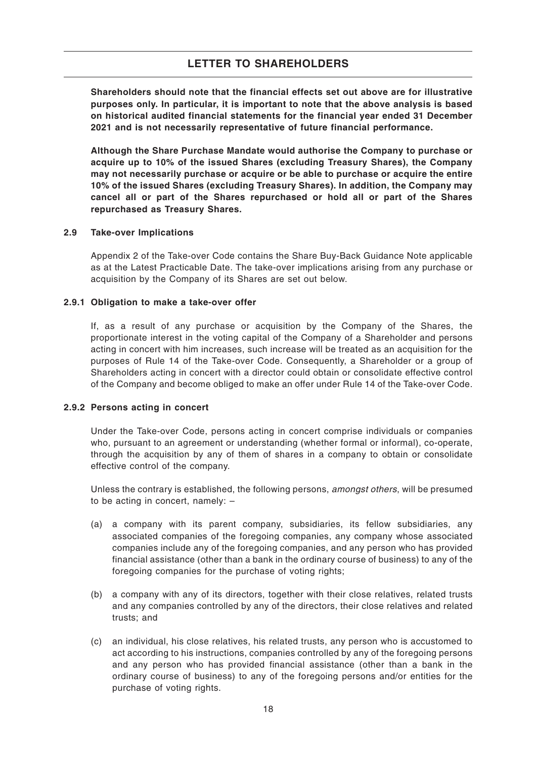**Shareholders should note that the financial effects set out above are for illustrative purposes only. In particular, it is important to note that the above analysis is based on historical audited financial statements for the financial year ended 31 December 2021 and is not necessarily representative of future financial performance.**

**Although the Share Purchase Mandate would authorise the Company to purchase or acquire up to 10% of the issued Shares (excluding Treasury Shares), the Company may not necessarily purchase or acquire or be able to purchase or acquire the entire 10% of the issued Shares (excluding Treasury Shares). In addition, the Company may cancel all or part of the Shares repurchased or hold all or part of the Shares repurchased as Treasury Shares.**

#### **2.9 Take-over Implications**

Appendix 2 of the Take-over Code contains the Share Buy-Back Guidance Note applicable as at the Latest Practicable Date. The take-over implications arising from any purchase or acquisition by the Company of its Shares are set out below.

#### **2.9.1 Obligation to make a take-over offer**

If, as a result of any purchase or acquisition by the Company of the Shares, the proportionate interest in the voting capital of the Company of a Shareholder and persons acting in concert with him increases, such increase will be treated as an acquisition for the purposes of Rule 14 of the Take-over Code. Consequently, a Shareholder or a group of Shareholders acting in concert with a director could obtain or consolidate effective control of the Company and become obliged to make an offer under Rule 14 of the Take-over Code.

# **2.9.2 Persons acting in concert**

Under the Take-over Code, persons acting in concert comprise individuals or companies who, pursuant to an agreement or understanding (whether formal or informal), co-operate, through the acquisition by any of them of shares in a company to obtain or consolidate effective control of the company.

Unless the contrary is established, the following persons, amongst others, will be presumed to be acting in concert, namely: –

- (a) a company with its parent company, subsidiaries, its fellow subsidiaries, any associated companies of the foregoing companies, any company whose associated companies include any of the foregoing companies, and any person who has provided financial assistance (other than a bank in the ordinary course of business) to any of the foregoing companies for the purchase of voting rights;
- (b) a company with any of its directors, together with their close relatives, related trusts and any companies controlled by any of the directors, their close relatives and related trusts; and
- (c) an individual, his close relatives, his related trusts, any person who is accustomed to act according to his instructions, companies controlled by any of the foregoing persons and any person who has provided financial assistance (other than a bank in the ordinary course of business) to any of the foregoing persons and/or entities for the purchase of voting rights.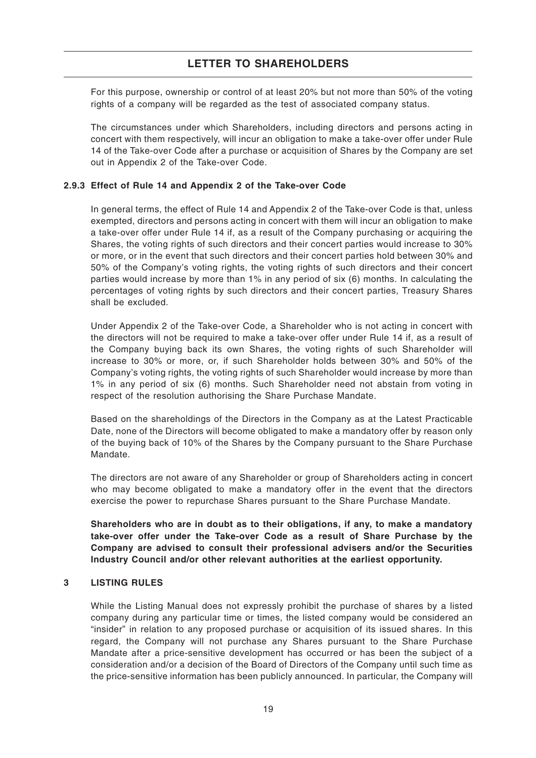For this purpose, ownership or control of at least 20% but not more than 50% of the voting rights of a company will be regarded as the test of associated company status.

The circumstances under which Shareholders, including directors and persons acting in concert with them respectively, will incur an obligation to make a take-over offer under Rule 14 of the Take-over Code after a purchase or acquisition of Shares by the Company are set out in Appendix 2 of the Take-over Code.

# **2.9.3 Effect of Rule 14 and Appendix 2 of the Take-over Code**

In general terms, the effect of Rule 14 and Appendix 2 of the Take-over Code is that, unless exempted, directors and persons acting in concert with them will incur an obligation to make a take-over offer under Rule 14 if, as a result of the Company purchasing or acquiring the Shares, the voting rights of such directors and their concert parties would increase to 30% or more, or in the event that such directors and their concert parties hold between 30% and 50% of the Company's voting rights, the voting rights of such directors and their concert parties would increase by more than 1% in any period of six (6) months. In calculating the percentages of voting rights by such directors and their concert parties, Treasury Shares shall be excluded.

Under Appendix 2 of the Take-over Code, a Shareholder who is not acting in concert with the directors will not be required to make a take-over offer under Rule 14 if, as a result of the Company buying back its own Shares, the voting rights of such Shareholder will increase to 30% or more, or, if such Shareholder holds between 30% and 50% of the Company's voting rights, the voting rights of such Shareholder would increase by more than 1% in any period of six (6) months. Such Shareholder need not abstain from voting in respect of the resolution authorising the Share Purchase Mandate.

Based on the shareholdings of the Directors in the Company as at the Latest Practicable Date, none of the Directors will become obligated to make a mandatory offer by reason only of the buying back of 10% of the Shares by the Company pursuant to the Share Purchase Mandate.

The directors are not aware of any Shareholder or group of Shareholders acting in concert who may become obligated to make a mandatory offer in the event that the directors exercise the power to repurchase Shares pursuant to the Share Purchase Mandate.

**Shareholders who are in doubt as to their obligations, if any, to make a mandatory take-over offer under the Take-over Code as a result of Share Purchase by the Company are advised to consult their professional advisers and/or the Securities Industry Council and/or other relevant authorities at the earliest opportunity.**

# **3 LISTING RULES**

While the Listing Manual does not expressly prohibit the purchase of shares by a listed company during any particular time or times, the listed company would be considered an "insider" in relation to any proposed purchase or acquisition of its issued shares. In this regard, the Company will not purchase any Shares pursuant to the Share Purchase Mandate after a price-sensitive development has occurred or has been the subject of a consideration and/or a decision of the Board of Directors of the Company until such time as the price-sensitive information has been publicly announced. In particular, the Company will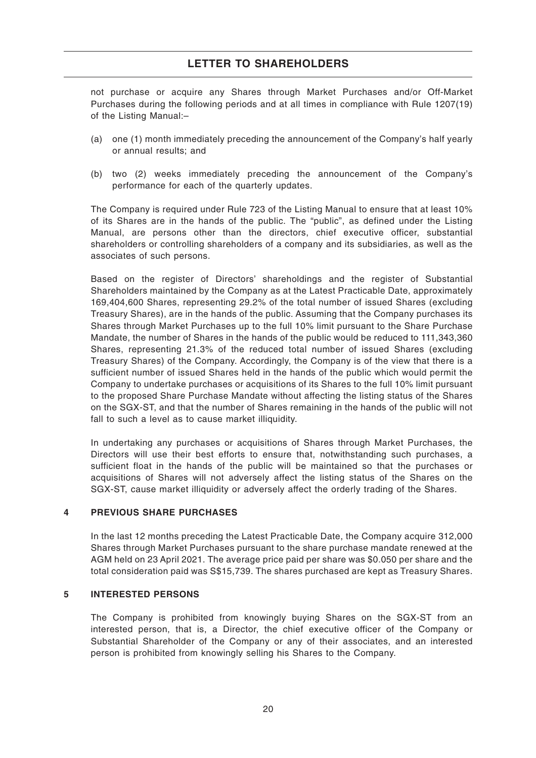not purchase or acquire any Shares through Market Purchases and/or Off-Market Purchases during the following periods and at all times in compliance with Rule 1207(19) of the Listing Manual:–

- (a) one (1) month immediately preceding the announcement of the Company's half yearly or annual results; and
- (b) two (2) weeks immediately preceding the announcement of the Company's performance for each of the quarterly updates.

The Company is required under Rule 723 of the Listing Manual to ensure that at least 10% of its Shares are in the hands of the public. The "public", as defined under the Listing Manual, are persons other than the directors, chief executive officer, substantial shareholders or controlling shareholders of a company and its subsidiaries, as well as the associates of such persons.

Based on the register of Directors' shareholdings and the register of Substantial Shareholders maintained by the Company as at the Latest Practicable Date, approximately 169,404,600 Shares, representing 29.2% of the total number of issued Shares (excluding Treasury Shares), are in the hands of the public. Assuming that the Company purchases its Shares through Market Purchases up to the full 10% limit pursuant to the Share Purchase Mandate, the number of Shares in the hands of the public would be reduced to 111,343,360 Shares, representing 21.3% of the reduced total number of issued Shares (excluding Treasury Shares) of the Company. Accordingly, the Company is of the view that there is a sufficient number of issued Shares held in the hands of the public which would permit the Company to undertake purchases or acquisitions of its Shares to the full 10% limit pursuant to the proposed Share Purchase Mandate without affecting the listing status of the Shares on the SGX-ST, and that the number of Shares remaining in the hands of the public will not fall to such a level as to cause market illiquidity.

In undertaking any purchases or acquisitions of Shares through Market Purchases, the Directors will use their best efforts to ensure that, notwithstanding such purchases, a sufficient float in the hands of the public will be maintained so that the purchases or acquisitions of Shares will not adversely affect the listing status of the Shares on the SGX-ST, cause market illiquidity or adversely affect the orderly trading of the Shares.

# **4 PREVIOUS SHARE PURCHASES**

In the last 12 months preceding the Latest Practicable Date, the Company acquire 312,000 Shares through Market Purchases pursuant to the share purchase mandate renewed at the AGM held on 23 April 2021. The average price paid per share was \$0.050 per share and the total consideration paid was S\$15,739. The shares purchased are kept as Treasury Shares.

# **5 INTERESTED PERSONS**

The Company is prohibited from knowingly buying Shares on the SGX-ST from an interested person, that is, a Director, the chief executive officer of the Company or Substantial Shareholder of the Company or any of their associates, and an interested person is prohibited from knowingly selling his Shares to the Company.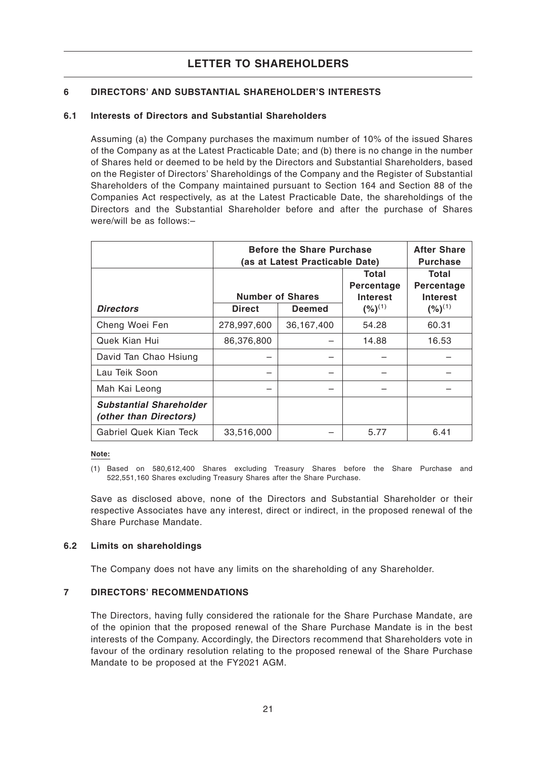# **6 DIRECTORS' AND SUBSTANTIAL SHAREHOLDER'S INTERESTS**

# **6.1 Interests of Directors and Substantial Shareholders**

Assuming (a) the Company purchases the maximum number of 10% of the issued Shares of the Company as at the Latest Practicable Date; and (b) there is no change in the number of Shares held or deemed to be held by the Directors and Substantial Shareholders, based on the Register of Directors' Shareholdings of the Company and the Register of Substantial Shareholders of the Company maintained pursuant to Section 164 and Section 88 of the Companies Act respectively, as at the Latest Practicable Date, the shareholdings of the Directors and the Substantial Shareholder before and after the purchase of Shares were/will be as follows:–

|                                                          | <b>Before the Share Purchase</b><br>(as at Latest Practicable Date) | <b>After Share</b><br><b>Purchase</b> |                     |                     |  |
|----------------------------------------------------------|---------------------------------------------------------------------|---------------------------------------|---------------------|---------------------|--|
|                                                          |                                                                     |                                       | Total<br>Percentage | Total<br>Percentage |  |
|                                                          | <b>Number of Shares</b>                                             |                                       | <b>Interest</b>     | <b>Interest</b>     |  |
| <b>Directors</b>                                         | <b>Direct</b>                                                       | <b>Deemed</b>                         | $(%)^{(1)}$         | $(%)^{(1)}$         |  |
| Cheng Woei Fen                                           | 278,997,600                                                         | 36,167,400                            | 54.28               | 60.31               |  |
| Quek Kian Hui                                            | 86,376,800                                                          |                                       | 14.88               | 16.53               |  |
| David Tan Chao Hsiung                                    |                                                                     |                                       |                     |                     |  |
| Lau Teik Soon                                            |                                                                     |                                       |                     |                     |  |
| Mah Kai Leong                                            |                                                                     |                                       |                     |                     |  |
| <b>Substantial Shareholder</b><br>(other than Directors) |                                                                     |                                       |                     |                     |  |
| Gabriel Quek Kian Teck                                   | 33,516,000                                                          |                                       | 5.77                | 6.41                |  |

**Note:**

Save as disclosed above, none of the Directors and Substantial Shareholder or their respective Associates have any interest, direct or indirect, in the proposed renewal of the Share Purchase Mandate.

# **6.2 Limits on shareholdings**

The Company does not have any limits on the shareholding of any Shareholder.

# **7 DIRECTORS' RECOMMENDATIONS**

The Directors, having fully considered the rationale for the Share Purchase Mandate, are of the opinion that the proposed renewal of the Share Purchase Mandate is in the best interests of the Company. Accordingly, the Directors recommend that Shareholders vote in favour of the ordinary resolution relating to the proposed renewal of the Share Purchase Mandate to be proposed at the FY2021 AGM.

<sup>(1)</sup> Based on 580,612,400 Shares excluding Treasury Shares before the Share Purchase and 522,551,160 Shares excluding Treasury Shares after the Share Purchase.